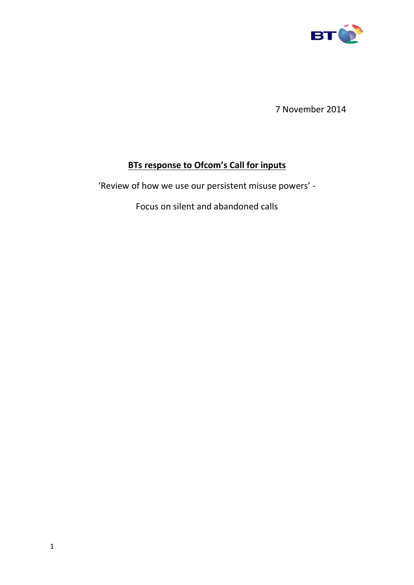

7 November 2014

# **BTs response to Ofcom's Call for inputs**

'Review of how we use our persistent misuse powers' -

Focus on silent and abandoned calls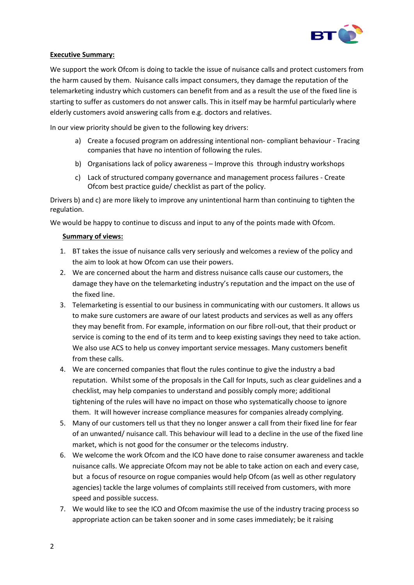

## **Executive Summary:**

We support the work Ofcom is doing to tackle the issue of nuisance calls and protect customers from the harm caused by them. Nuisance calls impact consumers, they damage the reputation of the telemarketing industry which customers can benefit from and as a result the use of the fixed line is starting to suffer as customers do not answer calls. This in itself may be harmful particularly where elderly customers avoid answering calls from e.g. doctors and relatives.

In our view priority should be given to the following key drivers:

- a) Create a focused program on addressing intentional non- compliant behaviour Tracing companies that have no intention of following the rules.
- b) Organisations lack of policy awareness Improve this through industry workshops
- c) Lack of structured company governance and management process failures Create Ofcom best practice guide/ checklist as part of the policy.

Drivers b) and c) are more likely to improve any unintentional harm than continuing to tighten the regulation.

We would be happy to continue to discuss and input to any of the points made with Ofcom.

## **Summary of views:**

- 1. BT takes the issue of nuisance calls very seriously and welcomes a review of the policy and the aim to look at how Ofcom can use their powers.
- 2. We are concerned about the harm and distress nuisance calls cause our customers, the damage they have on the telemarketing industry's reputation and the impact on the use of the fixed line.
- 3. Telemarketing is essential to our business in communicating with our customers. It allows us to make sure customers are aware of our latest products and services as well as any offers they may benefit from. For example, information on our fibre roll-out, that their product or service is coming to the end of its term and to keep existing savings they need to take action. We also use ACS to help us convey important service messages. Many customers benefit from these calls.
- 4. We are concerned companies that flout the rules continue to give the industry a bad reputation. Whilst some of the proposals in the Call for Inputs, such as clear guidelines and a checklist, may help companies to understand and possibly comply more; additional tightening of the rules will have no impact on those who systematically choose to ignore them. It will however increase compliance measures for companies already complying.
- 5. Many of our customers tell us that they no longer answer a call from their fixed line for fear of an unwanted/ nuisance call. This behaviour will lead to a decline in the use of the fixed line market, which is not good for the consumer or the telecoms industry.
- 6. We welcome the work Ofcom and the ICO have done to raise consumer awareness and tackle nuisance calls. We appreciate Ofcom may not be able to take action on each and every case, but a focus of resource on rogue companies would help Ofcom (as well as other regulatory agencies) tackle the large volumes of complaints still received from customers, with more speed and possible success.
- 7. We would like to see the ICO and Ofcom maximise the use of the industry tracing process so appropriate action can be taken sooner and in some cases immediately; be it raising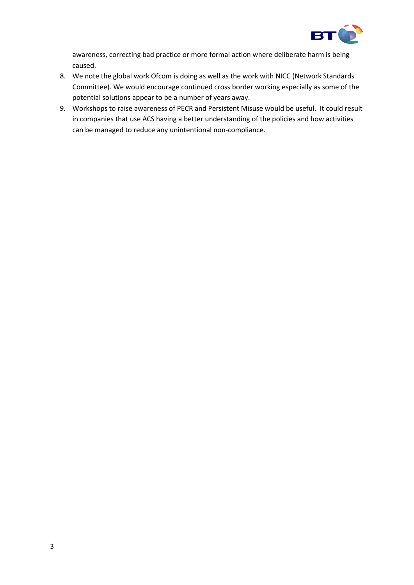

awareness, correcting bad practice or more formal action where deliberate harm is being caused.

- 8. We note the global work Ofcom is doing as well as the work with NICC (Network Standards Committee). We would encourage continued cross border working especially as some of the potential solutions appear to be a number of years away.
- 9. Workshops to raise awareness of PECR and Persistent Misuse would be useful. It could result in companies that use ACS having a better understanding of the policies and how activities can be managed to reduce any unintentional non-compliance.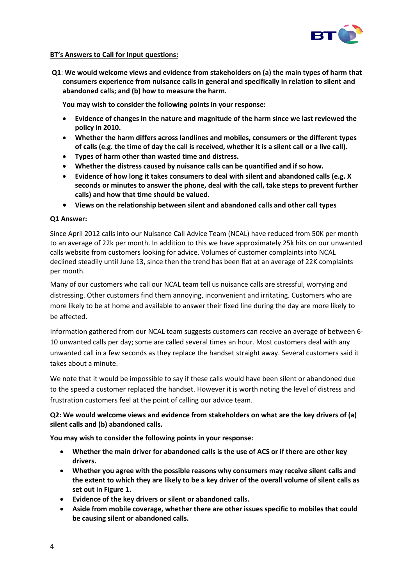

## **BT's Answers to Call for Input questions:**

**Q1**: **We would welcome views and evidence from stakeholders on (a) the main types of harm that consumers experience from nuisance calls in general and specifically in relation to silent and abandoned calls; and (b) how to measure the harm.** 

**You may wish to consider the following points in your response:** 

- **Evidence of changes in the nature and magnitude of the harm since we last reviewed the policy in 2010.**
- **Whether the harm differs across landlines and mobiles, consumers or the different types of calls (e.g. the time of day the call is received, whether it is a silent call or a live call).**
- **Types of harm other than wasted time and distress.**
- **Whether the distress caused by nuisance calls can be quantified and if so how.**
- **Evidence of how long it takes consumers to deal with silent and abandoned calls (e.g. X seconds or minutes to answer the phone, deal with the call, take steps to prevent further calls) and how that time should be valued.**
- **Views on the relationship between silent and abandoned calls and other call types**

## **Q1 Answer:**

Since April 2012 calls into our Nuisance Call Advice Team (NCAL) have reduced from 50K per month to an average of 22k per month. In addition to this we have approximately 25k hits on our unwanted calls website from customers looking for advice. Volumes of customer complaints into NCAL declined steadily until June 13, since then the trend has been flat at an average of 22K complaints per month.

Many of our customers who call our NCAL team tell us nuisance calls are stressful, worrying and distressing. Other customers find them annoying, inconvenient and irritating. Customers who are more likely to be at home and available to answer their fixed line during the day are more likely to be affected.

Information gathered from our NCAL team suggests customers can receive an average of between 6- 10 unwanted calls per day; some are called several times an hour. Most customers deal with any unwanted call in a few seconds as they replace the handset straight away. Several customers said it takes about a minute.

We note that it would be impossible to say if these calls would have been silent or abandoned due to the speed a customer replaced the handset. However it is worth noting the level of distress and frustration customers feel at the point of calling our advice team.

## **Q2: We would welcome views and evidence from stakeholders on what are the key drivers of (a) silent calls and (b) abandoned calls.**

**You may wish to consider the following points in your response:** 

- **Whether the main driver for abandoned calls is the use of ACS or if there are other key drivers.**
- **Whether you agree with the possible reasons why consumers may receive silent calls and the extent to which they are likely to be a key driver of the overall volume of silent calls as set out in Figure 1.**
- **Evidence of the key drivers or silent or abandoned calls.**
- **Aside from mobile coverage, whether there are other issues specific to mobiles that could be causing silent or abandoned calls.**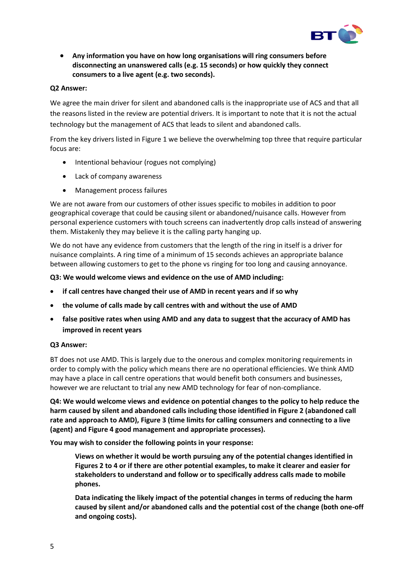

 **Any information you have on how long organisations will ring consumers before disconnecting an unanswered calls (e.g. 15 seconds) or how quickly they connect consumers to a live agent (e.g. two seconds).** 

## **Q2 Answer:**

We agree the main driver for silent and abandoned calls is the inappropriate use of ACS and that all the reasons listed in the review are potential drivers. It is important to note that it is not the actual technology but the management of ACS that leads to silent and abandoned calls.

From the key drivers listed in Figure 1 we believe the overwhelming top three that require particular focus are:

- Intentional behaviour (rogues not complying)
- Lack of company awareness
- Management process failures

We are not aware from our customers of other issues specific to mobiles in addition to poor geographical coverage that could be causing silent or abandoned/nuisance calls. However from personal experience customers with touch screens can inadvertently drop calls instead of answering them. Mistakenly they may believe it is the calling party hanging up.

We do not have any evidence from customers that the length of the ring in itself is a driver for nuisance complaints. A ring time of a minimum of 15 seconds achieves an appropriate balance between allowing customers to get to the phone vs ringing for too long and causing annoyance.

**Q3: We would welcome views and evidence on the use of AMD including:**

- **if call centres have changed their use of AMD in recent years and if so why**
- **the volume of calls made by call centres with and without the use of AMD**
- **false positive rates when using AMD and any data to suggest that the accuracy of AMD has improved in recent years**

## **Q3 Answer:**

BT does not use AMD. This is largely due to the onerous and complex monitoring requirements in order to comply with the policy which means there are no operational efficiencies. We think AMD may have a place in call centre operations that would benefit both consumers and businesses, however we are reluctant to trial any new AMD technology for fear of non-compliance.

**Q4: We would welcome views and evidence on potential changes to the policy to help reduce the harm caused by silent and abandoned calls including those identified in Figure 2 (abandoned call rate and approach to AMD), Figure 3 (time limits for calling consumers and connecting to a live (agent) and Figure 4 good management and appropriate processes).**

**You may wish to consider the following points in your response:**

**Views on whether it would be worth pursuing any of the potential changes identified in Figures 2 to 4 or if there are other potential examples, to make it clearer and easier for stakeholders to understand and follow or to specifically address calls made to mobile phones.** 

**Data indicating the likely impact of the potential changes in terms of reducing the harm caused by silent and/or abandoned calls and the potential cost of the change (both one-off and ongoing costs).**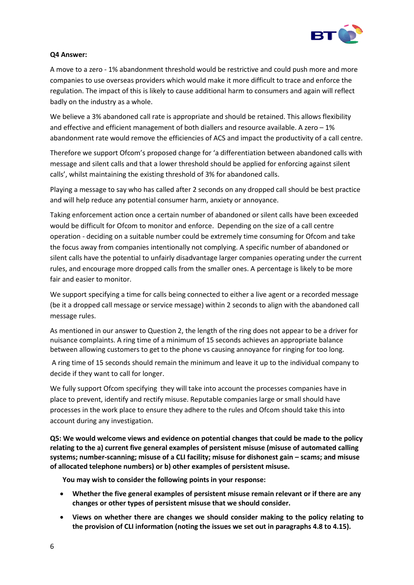

## **Q4 Answer:**

A move to a zero - 1% abandonment threshold would be restrictive and could push more and more companies to use overseas providers which would make it more difficult to trace and enforce the regulation. The impact of this is likely to cause additional harm to consumers and again will reflect badly on the industry as a whole.

We believe a 3% abandoned call rate is appropriate and should be retained. This allows flexibility and effective and efficient management of both diallers and resource available. A zero – 1% abandonment rate would remove the efficiencies of ACS and impact the productivity of a call centre.

Therefore we support Ofcom's proposed change for 'a differentiation between abandoned calls with message and silent calls and that a lower threshold should be applied for enforcing against silent calls', whilst maintaining the existing threshold of 3% for abandoned calls.

Playing a message to say who has called after 2 seconds on any dropped call should be best practice and will help reduce any potential consumer harm, anxiety or annoyance.

Taking enforcement action once a certain number of abandoned or silent calls have been exceeded would be difficult for Ofcom to monitor and enforce. Depending on the size of a call centre operation - deciding on a suitable number could be extremely time consuming for Ofcom and take the focus away from companies intentionally not complying. A specific number of abandoned or silent calls have the potential to unfairly disadvantage larger companies operating under the current rules, and encourage more dropped calls from the smaller ones. A percentage is likely to be more fair and easier to monitor.

We support specifying a time for calls being connected to either a live agent or a recorded message (be it a dropped call message or service message) within 2 seconds to align with the abandoned call message rules.

As mentioned in our answer to Question 2, the length of the ring does not appear to be a driver for nuisance complaints. A ring time of a minimum of 15 seconds achieves an appropriate balance between allowing customers to get to the phone vs causing annoyance for ringing for too long.

A ring time of 15 seconds should remain the minimum and leave it up to the individual company to decide if they want to call for longer.

We fully support Ofcom specifying they will take into account the processes companies have in place to prevent, identify and rectify misuse. Reputable companies large or small should have processes in the work place to ensure they adhere to the rules and Ofcom should take this into account during any investigation.

**Q5: We would welcome views and evidence on potential changes that could be made to the policy relating to the a) current five general examples of persistent misuse (misuse of automated calling systems; number-scanning; misuse of a CLI facility; misuse for dishonest gain – scams; and misuse of allocated telephone numbers) or b) other examples of persistent misuse.** 

**You may wish to consider the following points in your response:**

- **Whether the five general examples of persistent misuse remain relevant or if there are any changes or other types of persistent misuse that we should consider.**
- **Views on whether there are changes we should consider making to the policy relating to the provision of CLI information (noting the issues we set out in paragraphs 4.8 to 4.15).**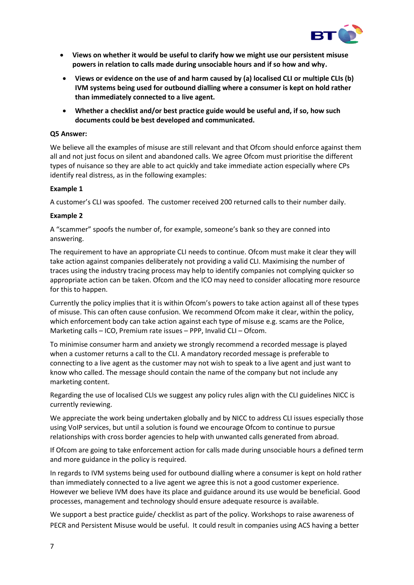

- **Views on whether it would be useful to clarify how we might use our persistent misuse powers in relation to calls made during unsociable hours and if so how and why.**
- **Views or evidence on the use of and harm caused by (a) localised CLI or multiple CLIs (b) IVM systems being used for outbound dialling where a consumer is kept on hold rather than immediately connected to a live agent.**
- **Whether a checklist and/or best practice guide would be useful and, if so, how such documents could be best developed and communicated.**

#### **Q5 Answer:**

We believe all the examples of misuse are still relevant and that Ofcom should enforce against them all and not just focus on silent and abandoned calls. We agree Ofcom must prioritise the different types of nuisance so they are able to act quickly and take immediate action especially where CPs identify real distress, as in the following examples:

## **Example 1**

A customer's CLI was spoofed. The customer received 200 returned calls to their number daily.

## **Example 2**

A "scammer" spoofs the number of, for example, someone's bank so they are conned into answering.

The requirement to have an appropriate CLI needs to continue. Ofcom must make it clear they will take action against companies deliberately not providing a valid CLI. Maximising the number of traces using the industry tracing process may help to identify companies not complying quicker so appropriate action can be taken. Ofcom and the ICO may need to consider allocating more resource for this to happen.

Currently the policy implies that it is within Ofcom's powers to take action against all of these types of misuse. This can often cause confusion. We recommend Ofcom make it clear, within the policy, which enforcement body can take action against each type of misuse e.g. scams are the Police, Marketing calls – ICO, Premium rate issues – PPP, Invalid CLI – Ofcom.

To minimise consumer harm and anxiety we strongly recommend a recorded message is played when a customer returns a call to the CLI. A mandatory recorded message is preferable to connecting to a live agent as the customer may not wish to speak to a live agent and just want to know who called. The message should contain the name of the company but not include any marketing content.

Regarding the use of localised CLIs we suggest any policy rules align with the CLI guidelines NICC is currently reviewing.

We appreciate the work being undertaken globally and by NICC to address CLI issues especially those using VoIP services, but until a solution is found we encourage Ofcom to continue to pursue relationships with cross border agencies to help with unwanted calls generated from abroad.

If Ofcom are going to take enforcement action for calls made during unsociable hours a defined term and more guidance in the policy is required.

In regards to IVM systems being used for outbound dialling where a consumer is kept on hold rather than immediately connected to a live agent we agree this is not a good customer experience. However we believe IVM does have its place and guidance around its use would be beneficial. Good processes, management and technology should ensure adequate resource is available.

We support a best practice guide/ checklist as part of the policy. Workshops to raise awareness of PECR and Persistent Misuse would be useful. It could result in companies using ACS having a better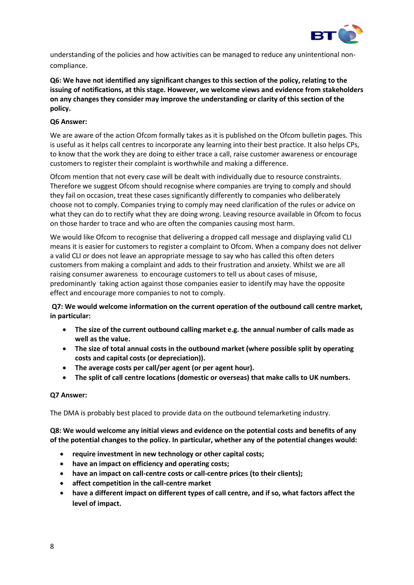

understanding of the policies and how activities can be managed to reduce any unintentional noncompliance.

**Q6: We have not identified any significant changes to this section of the policy, relating to the issuing of notifications, at this stage. However, we welcome views and evidence from stakeholders on any changes they consider may improve the understanding or clarity of this section of the policy.** 

## **Q6 Answer:**

We are aware of the action Ofcom formally takes as it is published on the Ofcom bulletin pages. This is useful as it helps call centres to incorporate any learning into their best practice. It also helps CPs, to know that the work they are doing to either trace a call, raise customer awareness or encourage customers to register their complaint is worthwhile and making a difference.

Ofcom mention that not every case will be dealt with individually due to resource constraints. Therefore we suggest Ofcom should recognise where companies are trying to comply and should they fail on occasion, treat these cases significantly differently to companies who deliberately choose not to comply. Companies trying to comply may need clarification of the rules or advice on what they can do to rectify what they are doing wrong. Leaving resource available in Ofcom to focus on those harder to trace and who are often the companies causing most harm.

We would like Ofcom to recognise that delivering a dropped call message and displaying valid CLI means it is easier for customers to register a complaint to Ofcom. When a company does not deliver a valid CLI or does not leave an appropriate message to say who has called this often deters customers from making a complaint and adds to their frustration and anxiety. Whilst we are all raising consumer awareness to encourage customers to tell us about cases of misuse, predominantly taking action against those companies easier to identify may have the opposite effect and encourage more companies to not to comply.

**Q7: We would welcome information on the current operation of the outbound call centre market, in particular:** 

- **The size of the current outbound calling market e.g. the annual number of calls made as well as the value.**
- **The size of total annual costs in the outbound market (where possible split by operating costs and capital costs (or depreciation)).**
- **The average costs per call/per agent (or per agent hour).**
- **The split of call centre locations (domestic or overseas) that make calls to UK numbers.**

## **Q7 Answer:**

The DMA is probably best placed to provide data on the outbound telemarketing industry.

**Q8: We would welcome any initial views and evidence on the potential costs and benefits of any of the potential changes to the policy. In particular, whether any of the potential changes would:** 

- **require investment in new technology or other capital costs;**
- **have an impact on efficiency and operating costs;**
- **have an impact on call-centre costs or call-centre prices (to their clients);**
- **affect competition in the call-centre market**
- **have a different impact on different types of call centre, and if so, what factors affect the level of impact.**